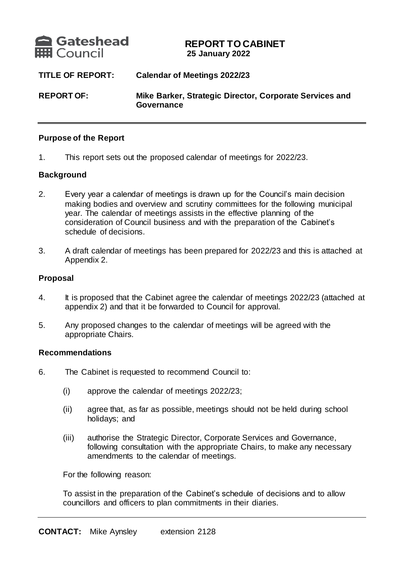

# **REPORT TO CABINET 25 January 2022**

| <b>TITLE OF REPORT:</b> | <b>Calendar of Meetings 2022/23</b>                                   |
|-------------------------|-----------------------------------------------------------------------|
| <b>REPORT OF:</b>       | Mike Barker, Strategic Director, Corporate Services and<br>Governance |

#### **Purpose of the Report**

1. This report sets out the proposed calendar of meetings for 2022/23.

## **Background**

- 2. Every year a calendar of meetings is drawn up for the Council's main decision making bodies and overview and scrutiny committees for the following municipal year. The calendar of meetings assists in the effective planning of the consideration of Council business and with the preparation of the Cabinet's schedule of decisions.
- 3. A draft calendar of meetings has been prepared for 2022/23 and this is attached at Appendix 2.

#### **Proposal**

- 4. It is proposed that the Cabinet agree the calendar of meetings 2022/23 (attached at appendix 2) and that it be forwarded to Council for approval.
- 5. Any proposed changes to the calendar of meetings will be agreed with the appropriate Chairs.

#### **Recommendations**

- 6. The Cabinet is requested to recommend Council to:
	- (i) approve the calendar of meetings 2022/23;
	- (ii) agree that, as far as possible, meetings should not be held during school holidays; and
	- (iii) authorise the Strategic Director, Corporate Services and Governance, following consultation with the appropriate Chairs, to make any necessary amendments to the calendar of meetings.

For the following reason:

To assist in the preparation of the Cabinet's schedule of decisions and to allow councillors and officers to plan commitments in their diaries.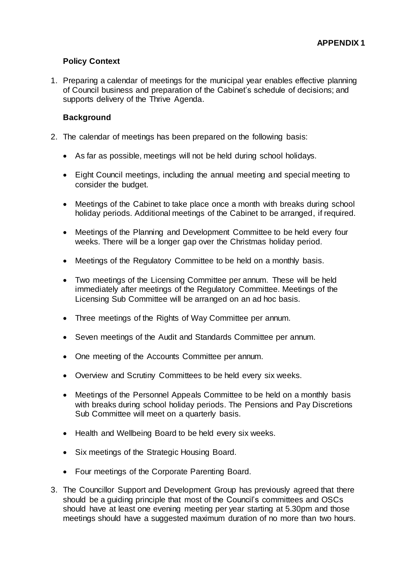# **Policy Context**

1. Preparing a calendar of meetings for the municipal year enables effective planning of Council business and preparation of the Cabinet's schedule of decisions; and supports delivery of the Thrive Agenda.

## **Background**

- 2. The calendar of meetings has been prepared on the following basis:
	- As far as possible, meetings will not be held during school holidays.
	- Eight Council meetings, including the annual meeting and special meeting to consider the budget.
	- Meetings of the Cabinet to take place once a month with breaks during school holiday periods. Additional meetings of the Cabinet to be arranged, if required.
	- Meetings of the Planning and Development Committee to be held every four weeks. There will be a longer gap over the Christmas holiday period.
	- Meetings of the Regulatory Committee to be held on a monthly basis.
	- Two meetings of the Licensing Committee per annum. These will be held immediately after meetings of the Regulatory Committee. Meetings of the Licensing Sub Committee will be arranged on an ad hoc basis.
	- Three meetings of the Rights of Way Committee per annum.
	- Seven meetings of the Audit and Standards Committee per annum.
	- One meeting of the Accounts Committee per annum.
	- Overview and Scrutiny Committees to be held every six weeks.
	- Meetings of the Personnel Appeals Committee to be held on a monthly basis with breaks during school holiday periods. The Pensions and Pay Discretions Sub Committee will meet on a quarterly basis.
	- Health and Wellbeing Board to be held every six weeks.
	- Six meetings of the Strategic Housing Board.
	- Four meetings of the Corporate Parenting Board.
- 3. The Councillor Support and Development Group has previously agreed that there should be a guiding principle that most of the Council's committees and OSCs should have at least one evening meeting per year starting at 5.30pm and those meetings should have a suggested maximum duration of no more than two hours.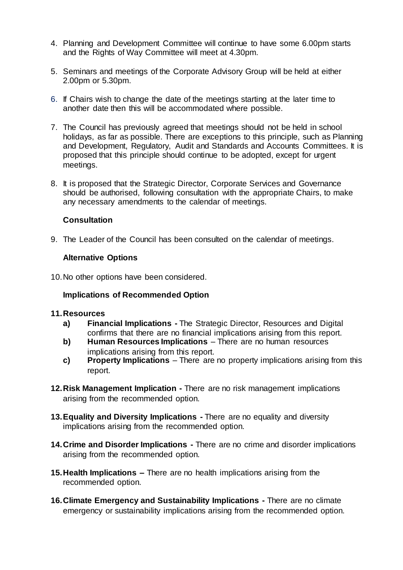- 4. Planning and Development Committee will continue to have some 6.00pm starts and the Rights of Way Committee will meet at 4.30pm.
- 5. Seminars and meetings of the Corporate Advisory Group will be held at either 2.00pm or 5.30pm.
- 6. If Chairs wish to change the date of the meetings starting at the later time to another date then this will be accommodated where possible.
- 7. The Council has previously agreed that meetings should not be held in school holidays, as far as possible. There are exceptions to this principle, such as Planning and Development, Regulatory, Audit and Standards and Accounts Committees. It is proposed that this principle should continue to be adopted, except for urgent meetings.
- 8. It is proposed that the Strategic Director, Corporate Services and Governance should be authorised, following consultation with the appropriate Chairs, to make any necessary amendments to the calendar of meetings.

## **Consultation**

9. The Leader of the Council has been consulted on the calendar of meetings.

## **Alternative Options**

10.No other options have been considered.

## **Implications of Recommended Option**

#### **11.Resources**

- **a) Financial Implications -** The Strategic Director, Resources and Digital confirms that there are no financial implications arising from this report.
- **b) Human Resources Implications** There are no human resources implications arising from this report.
- **c) Property Implications** There are no property implications arising from this report.
- **12.Risk Management Implication -** There are no risk management implications arising from the recommended option.
- **13.Equality and Diversity Implications -** There are no equality and diversity implications arising from the recommended option.
- **14.Crime and Disorder Implications -** There are no crime and disorder implications arising from the recommended option.
- **15.Health Implications –** There are no health implications arising from the recommended option.
- **16.Climate Emergency and Sustainability Implications -** There are no climate emergency or sustainability implications arising from the recommended option.